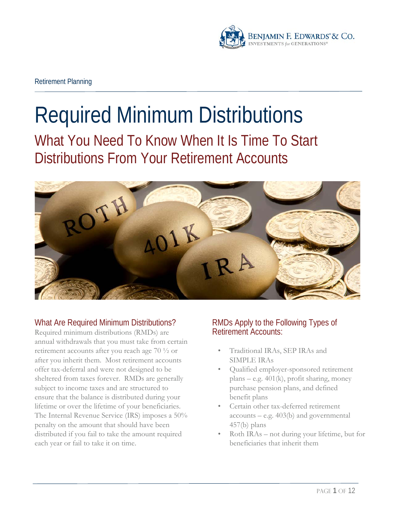

# Required Minimum Distributions

What You Need To Know When It Is Time To Start Distributions From Your Retirement Accounts



# What Are Required Minimum Distributions?

Required minimum distributions (RMDs) are annual withdrawals that you must take from certain retirement accounts after you reach age 70 ½ or after you inherit them. Most retirement accounts offer tax-deferral and were not designed to be sheltered from taxes forever. RMDs are generally subject to income taxes and are structured to ensure that the balance is distributed during your lifetime or over the lifetime of your beneficiaries. The Internal Revenue Service (IRS) imposes a 50% penalty on the amount that should have been distributed if you fail to take the amount required each year or fail to take it on time.

# RMDs Apply to the Following Types of Retirement Accounts:

- Traditional IRAs, SEP IRAs and SIMPLE IRAs
- Qualified employer-sponsored retirement plans – e.g. 401(k), profit sharing, money purchase pension plans, and defined benefit plans
- Certain other tax-deferred retirement accounts – e.g. 403(b) and governmental 457(b) plans
- Roth IRAs not during your lifetime, but for beneficiaries that inherit them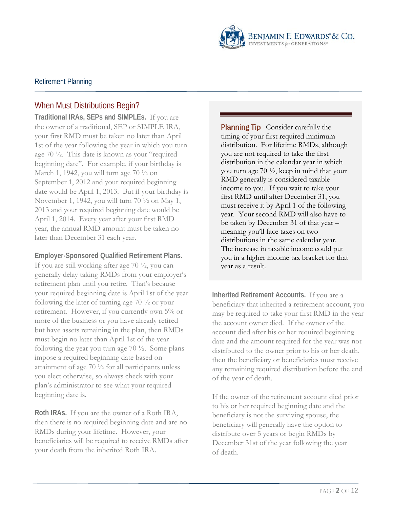

# When Must Distributions Begin?

**Traditional IRAs, SEPs and SIMPLEs.** If you are the owner of a traditional, SEP or SIMPLE IRA, your first RMD must be taken no later than April 1st of the year following the year in which you turn age 70 ½. This date is known as your "required beginning date". For example, if your birthday is March 1, 1942, you will turn age 70 ½ on September 1, 2012 and your required beginning date would be April 1, 2013. But if your birthday is November 1, 1942, you will turn 70 ½ on May 1, 2013 and your required beginning date would be April 1, 2014. Every year after your first RMD year, the annual RMD amount must be taken no later than December 31 each year.

#### **Employer-Sponsored Qualified Retirement Plans.**

If you are still working after age 70 ½, you can generally delay taking RMDs from your employer's retirement plan until you retire. That's because your required beginning date is April 1st of the year following the later of turning age 70 ½ or your retirement. However, if you currently own 5% or more of the business or you have already retired but have assets remaining in the plan, then RMDs must begin no later than April 1st of the year following the year you turn age  $70\frac{1}{2}$ . Some plans impose a required beginning date based on attainment of age 70 ½ for all participants unless you elect otherwise, so always check with your plan's administrator to see what your required beginning date is.

**Roth IRAs.** If you are the owner of a Roth IRA, then there is no required beginning date and are no RMDs during your lifetime. However, your beneficiaries will be required to receive RMDs after your death from the inherited Roth IRA.

**Planning Tip** Consider carefully the timing of your first required minimum distribution. For lifetime RMDs, although you are not required to take the first distribution in the calendar year in which you turn age  $70 \frac{1}{2}$ , keep in mind that your RMD generally is considered taxable income to you. If you wait to take your first RMD until after December 31, you must receive it by April 1 of the following year. Your second RMD will also have to be taken by December 31 of that year – meaning you'll face taxes on two distributions in the same calendar year. The increase in taxable income could put you in a higher income tax bracket for that year as a result.

**Inherited Retirement Accounts.** If you are a beneficiary that inherited a retirement account, you may be required to take your first RMD in the year the account owner died. If the owner of the account died after his or her required beginning date and the amount required for the year was not distributed to the owner prior to his or her death, then the beneficiary or beneficiaries must receive any remaining required distribution before the end of the year of death.

If the owner of the retirement account died prior to his or her required beginning date and the beneficiary is not the surviving spouse, the beneficiary will generally have the option to distribute over 5 years or begin RMDs by December 31st of the year following the year of death.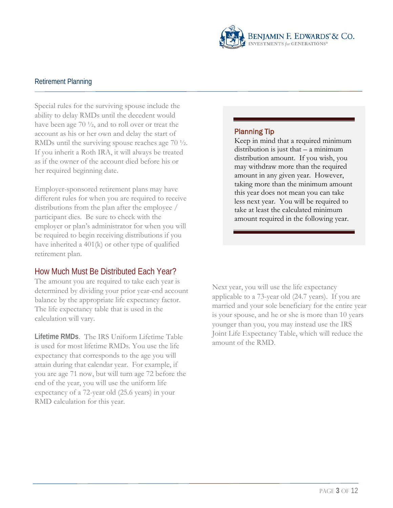

Special rules for the surviving spouse include the ability to delay RMDs until the decedent would have been age 70 ½, and to roll over or treat the account as his or her own and delay the start of RMDs until the surviving spouse reaches age 70 ½. If you inherit a Roth IRA, it will always be treated as if the owner of the account died before his or her required beginning date.

Employer-sponsored retirement plans may have different rules for when you are required to receive distributions from the plan after the employee / participant dies. Be sure to check with the employer or plan's administrator for when you will be required to begin receiving distributions if you have inherited a 401(k) or other type of qualified retirement plan.

#### How Much Must Be Distributed Each Year?

The amount you are required to take each year is determined by dividing your prior year-end account balance by the appropriate life expectancy factor. The life expectancy table that is used in the calculation will vary.

**Lifetime RMDs**. The IRS Uniform Lifetime Table is used for most lifetime RMDs. You use the life expectancy that corresponds to the age you will attain during that calendar year. For example, if you are age 71 now, but will turn age 72 before the end of the year, you will use the uniform life expectancy of a 72-year old (25.6 years) in your RMD calculation for this year.

#### Planning Tip

Keep in mind that a required minimum distribution is just that  $-$  a minimum distribution amount. If you wish, you may withdraw more than the required amount in any given year. However, taking more than the minimum amount this year does not mean you can take less next year. You will be required to take at least the calculated minimum amount required in the following year.

Next year, you will use the life expectancy applicable to a 73-year old (24.7 years). If you are married and your sole beneficiary for the entire year is your spouse, and he or she is more than 10 years younger than you, you may instead use the IRS Joint Life Expectancy Table, which will reduce the amount of the RMD.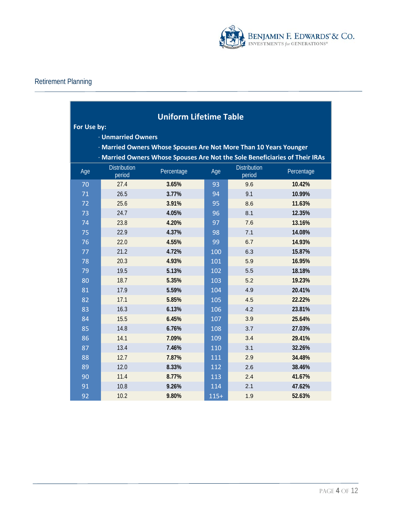

| <b>Uniform Lifetime Table</b>                                               |                                                                   |            |        |                               |            |  |  |  |  |
|-----------------------------------------------------------------------------|-------------------------------------------------------------------|------------|--------|-------------------------------|------------|--|--|--|--|
| For Use by:                                                                 |                                                                   |            |        |                               |            |  |  |  |  |
|                                                                             | <b>· Unmarried Owners</b>                                         |            |        |                               |            |  |  |  |  |
|                                                                             | · Married Owners Whose Spouses Are Not More Than 10 Years Younger |            |        |                               |            |  |  |  |  |
| · Married Owners Whose Spouses Are Not the Sole Beneficiaries of Their IRAs |                                                                   |            |        |                               |            |  |  |  |  |
| Age                                                                         | <b>Distribution</b><br>period                                     | Percentage | Age    | <b>Distribution</b><br>period | Percentage |  |  |  |  |
| 70                                                                          | 27.4                                                              | 3.65%      | 93     | 9.6                           | 10.42%     |  |  |  |  |
| 71                                                                          | 26.5                                                              | 3.77%      | 94     | 9.1                           | 10.99%     |  |  |  |  |
| 72                                                                          | 25.6                                                              | 3.91%      | 95     | 8.6                           | 11.63%     |  |  |  |  |
| 73                                                                          | 24.7                                                              | 4.05%      | 96     | 8.1                           | 12.35%     |  |  |  |  |
| 74                                                                          | 23.8                                                              | 4.20%      | 97     | 7.6                           | 13.16%     |  |  |  |  |
| 75                                                                          | 22.9                                                              | 4.37%      | 98     | 7.1                           | 14.08%     |  |  |  |  |
| 76                                                                          | 22.0                                                              | 4.55%      | 99     | 6.7                           | 14.93%     |  |  |  |  |
| 77                                                                          | 21.2                                                              | 4.72%      | 100    | 6.3                           | 15.87%     |  |  |  |  |
| 78                                                                          | 20.3                                                              | 4.93%      | 101    | 5.9                           | 16.95%     |  |  |  |  |
| 79                                                                          | 19.5                                                              | 5.13%      | 102    | 5.5                           | 18.18%     |  |  |  |  |
| 80                                                                          | 18.7                                                              | 5.35%      | 103    | 5.2                           | 19.23%     |  |  |  |  |
| 81                                                                          | 17.9                                                              | 5.59%      | 104    | 4.9                           | 20.41%     |  |  |  |  |
| 82                                                                          | 17.1                                                              | 5.85%      | 105    | 4.5                           | 22.22%     |  |  |  |  |
| 83                                                                          | 16.3                                                              | 6.13%      | 106    | 4.2                           | 23.81%     |  |  |  |  |
| 84                                                                          | 15.5                                                              | 6.45%      | 107    | 3.9                           | 25.64%     |  |  |  |  |
| 85                                                                          | 14.8                                                              | 6.76%      | 108    | 3.7                           | 27.03%     |  |  |  |  |
| 86                                                                          | 14.1                                                              | 7.09%      | 109    | 3.4                           | 29.41%     |  |  |  |  |
| 87                                                                          | 13.4                                                              | 7.46%      | 110    | 3.1                           | 32.26%     |  |  |  |  |
| 88                                                                          | 12.7                                                              | 7.87%      | 111    | 2.9                           | 34.48%     |  |  |  |  |
| 89                                                                          | 12.0                                                              | 8.33%      | 112    | 2.6                           | 38.46%     |  |  |  |  |
| 90                                                                          | 11.4                                                              | 8.77%      | 113    | 2.4                           | 41.67%     |  |  |  |  |
| 91                                                                          | 10.8                                                              | 9.26%      | 114    | 2.1                           | 47.62%     |  |  |  |  |
| 92                                                                          | 10.2                                                              | 9.80%      | $115+$ | 1.9                           | 52.63%     |  |  |  |  |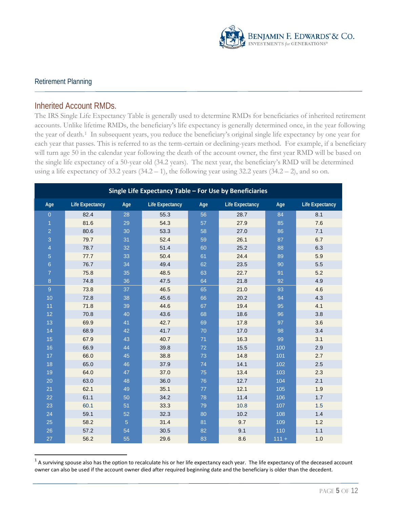

 $\overline{a}$ 

#### Inherited Account RMDs.

The IRS Single Life Expectancy Table is generally used to determine RMDs for beneficiaries of inherited retirement accounts. Unlike lifetime RMDs, the beneficiary's life expectancy is generally determined once, in the year following the year of death.[1](#page-4-0) In subsequent years, you reduce the beneficiary's original single life expectancy by one year for each year that passes. This is referred to as the term-certain or declining-years method. For example, if a beneficiary will turn age 50 in the calendar year following the death of the account owner, the first year RMD will be based on the single life expectancy of a 50-year old (34.2 years). The next year, the beneficiary's RMD will be determined using a life expectancy of 33.2 years  $(34.2 - 1)$ , the following year using 32.2 years  $(34.2 - 2)$ , and so on.

| Single Life Expectancy Table - For Use by Beneficiaries |                        |                |                        |     |                        |         |                        |  |
|---------------------------------------------------------|------------------------|----------------|------------------------|-----|------------------------|---------|------------------------|--|
| Age                                                     | <b>Life Expectancy</b> | Age            | <b>Life Expectancy</b> | Age | <b>Life Expectancy</b> | Age     | <b>Life Expectancy</b> |  |
| $\overline{0}$                                          | 82.4                   | 28             | 55.3                   | 56  | 28.7                   | 84      | 8.1                    |  |
| $\mathbf{1}$                                            | 81.6                   | 29             | 54.3                   | 57  | 27.9                   | 85      | 7.6                    |  |
| $\overline{2}$                                          | 80.6                   | 30             | 53.3                   | 58  | 27.0                   | 86      | 7.1                    |  |
| 3                                                       | 79.7                   | 31             | 52.4                   | 59  | 26.1                   | 87      | 6.7                    |  |
| $\overline{4}$                                          | 78.7                   | 32             | 51.4                   | 60  | 25.2                   | 88      | 6.3                    |  |
| $\overline{5}$                                          | 77.7                   | 33             | 50.4                   | 61  | 24.4                   | 89      | 5.9                    |  |
| $6\phantom{a}$                                          | 76.7                   | 34             | 49.4                   | 62  | 23.5                   | 90      | 5.5                    |  |
| $\overline{7}$                                          | 75.8                   | 35             | 48.5                   | 63  | 22.7                   | 91      | 5.2                    |  |
| 8                                                       | 74.8                   | 36             | 47.5                   | 64  | 21.8                   | 92      | 4.9                    |  |
| 9                                                       | 73.8                   | 37             | 46.5                   | 65  | 21.0                   | 93      | 4.6                    |  |
| 10                                                      | 72.8                   | 38             | 45.6                   | 66  | 20.2                   | 94      | 4.3                    |  |
| 11                                                      | 71.8                   | 39             | 44.6                   | 67  | 19.4                   | 95      | 4.1                    |  |
| 12                                                      | 70.8                   | 40             | 43.6                   | 68  | 18.6                   | 96      | 3.8                    |  |
| 13                                                      | 69.9                   | 41             | 42.7                   | 69  | 17.8                   | 97      | 3.6                    |  |
| 14                                                      | 68.9                   | 42             | 41.7                   | 70  | 17.0                   | 98      | 3.4                    |  |
| 15                                                      | 67.9                   | 43             | 40.7                   | 71  | 16.3                   | 99      | 3.1                    |  |
| 16                                                      | 66.9                   | 44             | 39.8                   | 72  | 15.5                   | 100     | 2.9                    |  |
| 17                                                      | 66.0                   | 45             | 38.8                   | 73  | 14.8                   | 101     | 2.7                    |  |
| 18                                                      | 65.0                   | 46             | 37.9                   | 74  | 14.1                   | 102     | 2.5                    |  |
| 19                                                      | 64.0                   | 47             | 37.0                   | 75  | 13.4                   | 103     | 2.3                    |  |
| 20                                                      | 63.0                   | 48             | 36.0                   | 76  | 12.7                   | 104     | 2.1                    |  |
| 21                                                      | 62.1                   | 49             | 35.1                   | 77  | 12.1                   | 105     | 1.9                    |  |
| 22                                                      | 61.1                   | 50             | 34.2                   | 78  | 11.4                   | 106     | 1.7                    |  |
| 23                                                      | 60.1                   | 51             | 33.3                   | 79  | 10.8                   | 107     | 1.5                    |  |
| 24                                                      | 59.1                   | 52             | 32.3                   | 80  | 10.2                   | 108     | 1.4                    |  |
| 25                                                      | 58.2                   | $\overline{5}$ | 31.4                   | 81  | 9.7                    | 109     | 1.2                    |  |
| 26                                                      | 57.2                   | 54             | 30.5                   | 82  | 9.1                    | 110     | 1.1                    |  |
| 27                                                      | 56.2                   | 55             | 29.6                   | 83  | 8.6                    | $111 +$ | 1.0                    |  |

<span id="page-4-0"></span> A surviving spouse also has the option to recalculate his or her life expectancy each year. The life expectancy of the deceased account owner can also be used if the account owner died after required beginning date and the beneficiary is older than the decedent.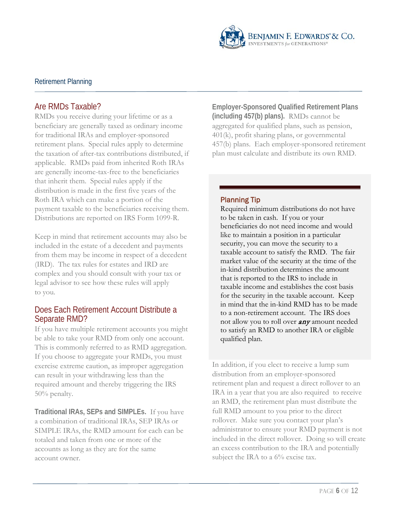

# Are RMDs Taxable?

RMDs you receive during your lifetime or as a beneficiary are generally taxed as ordinary income for traditional IRAs and employer-sponsored retirement plans. Special rules apply to determine the taxation of after-tax contributions distributed, if applicable. RMDs paid from inherited Roth IRAs are generally income-tax-free to the beneficiaries that inherit them. Special rules apply if the distribution is made in the first five years of the Roth IRA which can make a portion of the payment taxable to the beneficiaries receiving them. Distributions are reported on IRS Form 1099-R.

Keep in mind that retirement accounts may also be included in the estate of a decedent and payments from them may be income in respect of a decedent (IRD). The tax rules for estates and IRD are complex and you should consult with your tax or legal advisor to see how these rules will apply to you.

#### Does Each Retirement Account Distribute a Separate RMD?

If you have multiple retirement accounts you might be able to take your RMD from only one account. This is commonly referred to as RMD aggregation. If you choose to aggregate your RMDs, you must exercise extreme caution, as improper aggregation can result in your withdrawing less than the required amount and thereby triggering the IRS 50% penalty.

**Traditional IRAs, SEPs and SIMPLEs.** If you have a combination of traditional IRAs, SEP IRAs or SIMPLE IRAs, the RMD amount for each can be totaled and taken from one or more of the accounts as long as they are for the same account owner.

**Employer-Sponsored Qualified Retirement Plans (including 457(b) plans).** RMDs cannot be aggregated for qualified plans, such as pension, 401(k), profit sharing plans, or governmental 457(b) plans. Each employer-sponsored retirement plan must calculate and distribute its own RMD.

#### Planning Tip

Required minimum distributions do not have to be taken in cash. If you or your beneficiaries do not need income and would like to maintain a position in a particular security, you can move the security to a taxable account to satisfy the RMD. The fair market value of the security at the time of the in-kind distribution determines the amount that is reported to the IRS to include in taxable income and establishes the cost basis for the security in the taxable account. Keep in mind that the in-kind RMD has to be made to a non-retirement account. The IRS does not allow you to roll over **any** amount needed to satisfy an RMD to another IRA or eligible qualified plan.

In addition, if you elect to receive a lump sum distribution from an employer-sponsored retirement plan and request a direct rollover to an IRA in a year that you are also required to receive an RMD, the retirement plan must distribute the full RMD amount to you prior to the direct rollover. Make sure you contact your plan's administrator to ensure your RMD payment is not included in the direct rollover. Doing so will create an excess contribution to the IRA and potentially subject the IRA to a 6% excise tax.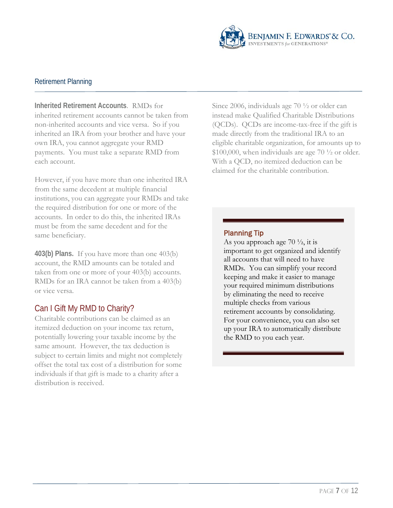

**Inherited Retirement Accounts**. RMDs for inherited retirement accounts cannot be taken from non-inherited accounts and vice versa. So if you inherited an IRA from your brother and have your own IRA, you cannot aggregate your RMD payments. You must take a separate RMD from each account.

However, if you have more than one inherited IRA from the same decedent at multiple financial institutions, you can aggregate your RMDs and take the required distribution for one or more of the accounts. In order to do this, the inherited IRAs must be from the same decedent and for the same beneficiary.

**403(b) Plans.** If you have more than one 403(b) account, the RMD amounts can be totaled and taken from one or more of your 403(b) accounts. RMDs for an IRA cannot be taken from a 403(b) or vice versa.

# Can I Gift My RMD to Charity?

Charitable contributions can be claimed as an itemized deduction on your income tax return, potentially lowering your taxable income by the same amount. However, the tax deduction is subject to certain limits and might not completely offset the total tax cost of a distribution for some individuals if that gift is made to a charity after a distribution is received.

Since 2006, individuals age 70 ½ or older can instead make Qualified Charitable Distributions (QCDs). QCDs are income-tax-free if the gift is made directly from the traditional IRA to an eligible charitable organization, for amounts up to  $$100,000$ , when individuals are age 70  $\frac{1}{2}$  or older. With a QCD, no itemized deduction can be claimed for the charitable contribution.

#### Planning Tip

As you approach age  $70\frac{1}{2}$ , it is important to get organized and identify all accounts that will need to have RMDs. You can simplify your record keeping and make it easier to manage your required minimum distributions by eliminating the need to receive multiple checks from various retirement accounts by consolidating. For your convenience, you can also set up your IRA to automatically distribute the RMD to you each year.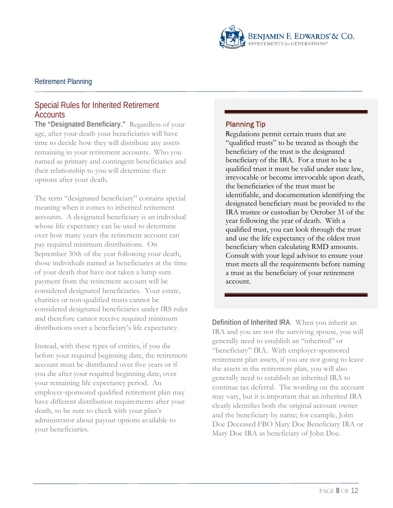

# Special Rules for Inherited Retirement **Accounts**

**The "Designated Beneficiary."** Regardless of your age, after your death your beneficiaries will have time to decide how they will distribute any assets remaining in your retirement accounts. Who you named as primary and contingent beneficiaries and their relationship to you will determine their options after your death.

The term "designated beneficiary" contains special meaning when it comes to inherited retirement accounts. A designated beneficiary is an individual whose life expectancy can be used to determine over how many years the retirement account can pay required minimum distributions. On September 30th of the year following your death, those individuals named as beneficiaries at the time of your death that have not taken a lump sum payment from the retirement account will be considered designated beneficiaries. Your estate, charities or non-qualified trusts cannot be considered designated beneficiaries under IRS rules and therefore cannot receive required minimum distributions over a beneficiary's life expectancy.

Instead, with these types of entities, if you die before your required beginning date, the retirement account must be distributed over five years or if you die after your required beginning date, over your remaining life expectancy period. An employer-sponsored qualified retirement plan may have different distribution requirements after your death, so be sure to check with your plan's administrator about payout options available to your beneficiaries.

#### Planning Tip

Regulations permit certain trusts that are "qualified trusts" to be treated as though the beneficiary of the trust is the designated beneficiary of the IRA. For a trust to be a qualified trust it must be valid under state law, irrevocable or become irrevocable upon death, the beneficiaries of the trust must be identifiable, and documentation identifying the designated beneficiary must be provided to the IRA trustee or custodian by October 31 of the year following the year of death. With a qualified trust, you can look through the trust and use the life expectancy of the oldest trust beneficiary when calculating RMD amounts. Consult with your legal advisor to ensure your trust meets all the requirements before naming a trust as the beneficiary of your retirement account.

**Definition of Inherited IRA**. When you inherit an IRA and you are not the surviving spouse, you will generally need to establish an "inherited" or "beneficiary" IRA. With employer-sponsored retirement plan assets, if you are not going to leave the assets in the retirement plan, you will also generally need to establish an inherited IRA to continue tax deferral. The wording on the account may vary, but it is important that an inherited IRA clearly identifies both the original account owner and the beneficiary by name; for example, John Doe Deceased FBO Mary Doe Beneficiary IRA or Mary Doe IRA as beneficiary of John Doe.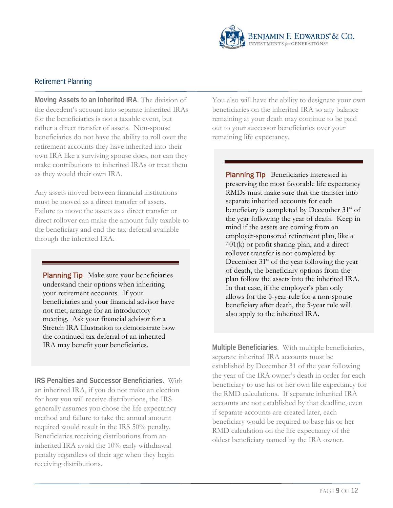

**Moving Assets to an Inherited IRA**. The division of the decedent's account into separate inherited IRAs for the beneficiaries is not a taxable event, but rather a direct transfer of assets. Non-spouse beneficiaries do not have the ability to roll over the retirement accounts they have inherited into their own IRA like a surviving spouse does, nor can they make contributions to inherited IRAs or treat them as they would their own IRA.

Any assets moved between financial institutions must be moved as a direct transfer of assets. Failure to move the assets as a direct transfer or direct rollover can make the amount fully taxable to the beneficiary and end the tax-deferral available through the inherited IRA.

Planning Tip Make sure your beneficiaries understand their options when inheriting your retirement accounts. If your beneficiaries and your financial advisor have not met, arrange for an introductory meeting. Ask your financial advisor for a Stretch IRA Illustration to demonstrate how the continued tax deferral of an inherited IRA may benefit your beneficiaries.

**IRS Penalties and Successor Beneficiaries.** With an inherited IRA, if you do not make an election for how you will receive distributions, the IRS generally assumes you chose the life expectancy method and failure to take the annual amount required would result in the IRS 50% penalty. Beneficiaries receiving distributions from an inherited IRA avoid the 10% early withdrawal penalty regardless of their age when they begin receiving distributions.

You also will have the ability to designate your own beneficiaries on the inherited IRA so any balance remaining at your death may continue to be paid out to your successor beneficiaries over your remaining life expectancy.

Planning Tip Beneficiaries interested in preserving the most favorable life expectancy RMDs must make sure that the transfer into separate inherited accounts for each beneficiary is completed by December  $31<sup>st</sup>$  of the year following the year of death. Keep in mind if the assets are coming from an employer-sponsored retirement plan, like a 401(k) or profit sharing plan, and a direct rollover transfer is not completed by December  $31<sup>st</sup>$  of the year following the year of death, the beneficiary options from the plan follow the assets into the inherited IRA. In that case, if the employer's plan only allows for the 5-year rule for a non-spouse beneficiary after death, the 5-year rule will also apply to the inherited IRA.

**Multiple Beneficiaries**. With multiple beneficiaries, separate inherited IRA accounts must be established by December 31 of the year following the year of the IRA owner's death in order for each beneficiary to use his or her own life expectancy for the RMD calculations. If separate inherited IRA accounts are not established by that deadline, even if separate accounts are created later, each beneficiary would be required to base his or her RMD calculation on the life expectancy of the oldest beneficiary named by the IRA owner.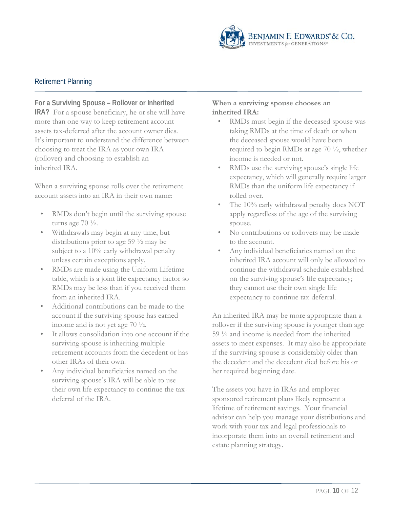

# **For a Surviving Spouse – Rollover or Inherited**

**IRA?** For a spouse beneficiary, he or she will have more than one way to keep retirement account assets tax-deferred after the account owner dies. It's important to understand the difference between choosing to treat the IRA as your own IRA (rollover) and choosing to establish an inherited IRA.

When a surviving spouse rolls over the retirement account assets into an IRA in their own name:

- RMDs don't begin until the surviving spouse turns age  $70\frac{1}{2}$ .
- Withdrawals may begin at any time, but distributions prior to age 59 ½ may be subject to a 10% early withdrawal penalty unless certain exceptions apply.
- RMDs are made using the Uniform Lifetime table, which is a joint life expectancy factor so RMDs may be less than if you received them from an inherited IRA.
- Additional contributions can be made to the account if the surviving spouse has earned income and is not yet age 70 ½.
- It allows consolidation into one account if the surviving spouse is inheriting multiple retirement accounts from the decedent or has other IRAs of their own.
- Any individual beneficiaries named on the surviving spouse's IRA will be able to use their own life expectancy to continue the taxdeferral of the IRA.

#### **When a surviving spouse chooses an inherited IRA:**

- RMDs must begin if the deceased spouse was taking RMDs at the time of death or when the deceased spouse would have been required to begin RMDs at age 70 ½, whether income is needed or not.
- RMDs use the surviving spouse's single life expectancy, which will generally require larger RMDs than the uniform life expectancy if rolled over.
- The 10% early withdrawal penalty does NOT apply regardless of the age of the surviving spouse.
- No contributions or rollovers may be made to the account.
- Any individual beneficiaries named on the inherited IRA account will only be allowed to continue the withdrawal schedule established on the surviving spouse's life expectancy; they cannot use their own single life expectancy to continue tax-deferral.

An inherited IRA may be more appropriate than a rollover if the surviving spouse is younger than age 59 ½ and income is needed from the inherited assets to meet expenses. It may also be appropriate if the surviving spouse is considerably older than the decedent and the decedent died before his or her required beginning date.

The assets you have in IRAs and employersponsored retirement plans likely represent a lifetime of retirement savings. Your financial advisor can help you manage your distributions and work with your tax and legal professionals to incorporate them into an overall retirement and estate planning strategy.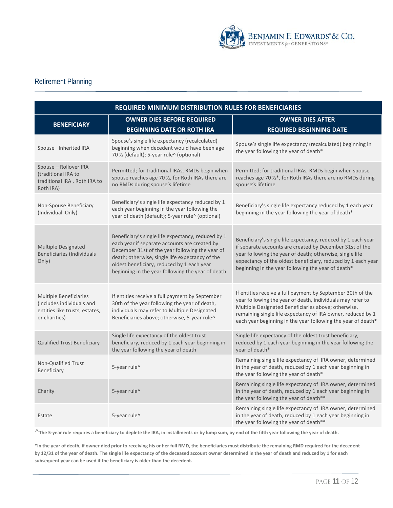

| REQUIRED MINIMUM DISTRIBUTION RULES FOR BENEFICIARIES                                                         |                                                                                                                                                                                                                                                                                                              |                                                                                                                                                                                                                                                                                                                 |  |  |  |  |
|---------------------------------------------------------------------------------------------------------------|--------------------------------------------------------------------------------------------------------------------------------------------------------------------------------------------------------------------------------------------------------------------------------------------------------------|-----------------------------------------------------------------------------------------------------------------------------------------------------------------------------------------------------------------------------------------------------------------------------------------------------------------|--|--|--|--|
| <b>BENEFICIARY</b>                                                                                            | <b>OWNER DIES BEFORE REQUIRED</b>                                                                                                                                                                                                                                                                            | <b>OWNER DIES AFTER</b>                                                                                                                                                                                                                                                                                         |  |  |  |  |
|                                                                                                               | <b>BEGINNING DATE OR ROTH IRA</b>                                                                                                                                                                                                                                                                            | <b>REQUIRED BEGINNING DATE</b>                                                                                                                                                                                                                                                                                  |  |  |  |  |
| Spouse - Inherited IRA                                                                                        | Spouse's single life expectancy (recalculated)<br>beginning when decedent would have been age<br>70 1/2 (default); 5-year rule^ (optional)                                                                                                                                                                   | Spouse's single life expectancy (recalculated) beginning in<br>the year following the year of death*                                                                                                                                                                                                            |  |  |  |  |
| Spouse - Rollover IRA<br>(traditional IRA to<br>traditional IRA, Roth IRA to<br>Roth IRA)                     | Permitted; for traditional IRAs, RMDs begin when<br>spouse reaches age 70 1/2, for Roth IRAs there are<br>no RMDs during spouse's lifetime                                                                                                                                                                   | Permitted; for traditional IRAs, RMDs begin when spouse<br>reaches age 70 1/2*, for Roth IRAs there are no RMDs during<br>spouse's lifetime                                                                                                                                                                     |  |  |  |  |
| Non-Spouse Beneficiary<br>(Individual Only)                                                                   | Beneficiary's single life expectancy reduced by 1<br>each year beginning in the year following the<br>year of death (default); 5-year rule^ (optional)                                                                                                                                                       | Beneficiary's single life expectancy reduced by 1 each year<br>beginning in the year following the year of death*                                                                                                                                                                                               |  |  |  |  |
| Multiple Designated<br><b>Beneficiaries (Individuals</b><br>Only)                                             | Beneficiary's single life expectancy, reduced by 1<br>each year if separate accounts are created by<br>December 31st of the year following the year of<br>death; otherwise, single life expectancy of the<br>oldest beneficiary, reduced by 1 each year<br>beginning in the year following the year of death | Beneficiary's single life expectancy, reduced by 1 each year<br>if separate accounts are created by December 31st of the<br>year following the year of death; otherwise, single life<br>expectancy of the oldest beneficiary, reduced by 1 each year<br>beginning in the year following the year of death*      |  |  |  |  |
| <b>Multiple Beneficiaries</b><br>(includes individuals and<br>entities like trusts, estates,<br>or charities) | If entities receive a full payment by September<br>30th of the year following the year of death,<br>individuals may refer to Multiple Designated<br>Beneficiaries above; otherwise, 5-year rule^                                                                                                             | If entities receive a full payment by September 30th of the<br>year following the year of death, individuals may refer to<br>Multiple Designated Beneficiaries above; otherwise,<br>remaining single life expectancy of IRA owner, reduced by 1<br>each year beginning in the year following the year of death* |  |  |  |  |
| <b>Qualified Trust Beneficiary</b>                                                                            | Single life expectancy of the oldest trust<br>beneficiary, reduced by 1 each year beginning in<br>the year following the year of death                                                                                                                                                                       | Single life expectancy of the oldest trust beneficiary,<br>reduced by 1 each year beginning in the year following the<br>year of death*                                                                                                                                                                         |  |  |  |  |
| Non-Qualified Trust<br>Beneficiary                                                                            | 5-year rule^                                                                                                                                                                                                                                                                                                 | Remaining single life expectancy of IRA owner, determined<br>in the year of death, reduced by 1 each year beginning in<br>the year following the year of death*                                                                                                                                                 |  |  |  |  |
| Charity                                                                                                       | 5-year rule^                                                                                                                                                                                                                                                                                                 | Remaining single life expectancy of IRA owner, determined<br>in the year of death, reduced by 1 each year beginning in<br>the year following the year of death**                                                                                                                                                |  |  |  |  |
| Estate                                                                                                        | 5-year rule^                                                                                                                                                                                                                                                                                                 | Remaining single life expectancy of IRA owner, determined<br>in the year of death, reduced by 1 each year beginning in<br>the year following the year of death**                                                                                                                                                |  |  |  |  |

**^The 5-year rule requires a beneficiary to deplete the IRA, in installments or by lump sum, by end of the fifth year following the year of death.**

**\*In the year of death, if owner died prior to receiving his or her full RMD, the beneficiaries must distribute the remaining RMD required for the decedent by 12/31 of the year of death. The single life expectancy of the deceased account owner determined in the year of death and reduced by 1 for each subsequent year can be used if the beneficiary is older than the decedent.**